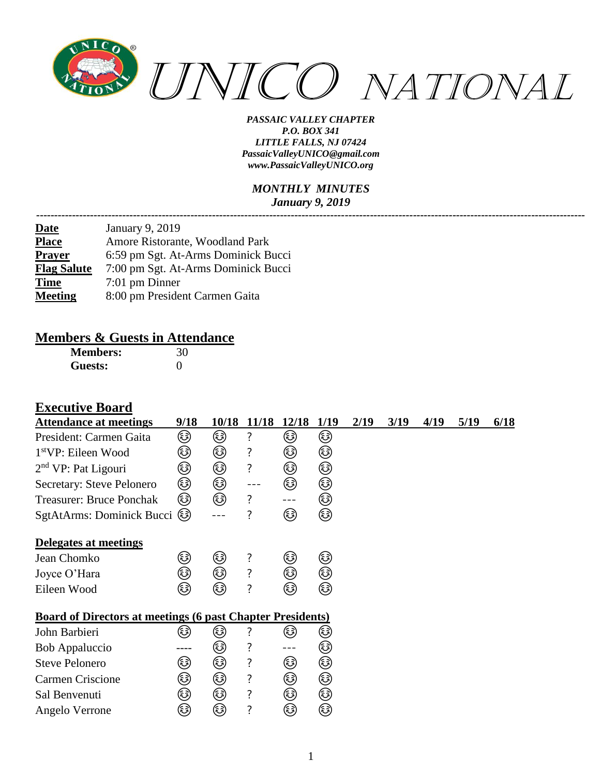

#### *MONTHLY MINUTES January 9, 2019*

| <b>Date</b>        | January 9, 2019                     |
|--------------------|-------------------------------------|
| <b>Place</b>       | Amore Ristorante, Woodland Park     |
| <b>Prayer</b>      | 6:59 pm Sgt. At-Arms Dominick Bucci |
| <b>Flag Salute</b> | 7:00 pm Sgt. At-Arms Dominick Bucci |
| <b>Time</b>        | 7:01 pm Dinner                      |
| <b>Meeting</b>     | 8:00 pm President Carmen Gaita      |

# **Members & Guests in Attendance**<br>Members:  $\frac{30}{ }$

| <b>Members:</b> | 30 |
|-----------------|----|
| Guests:         |    |

#### **Executive Board**

| <b>Attendance at meetings</b>                                     | 9/18     | 10/18 | 11/18 12/18 |     | 1/19 | 2/19 | 3/19 | 4/19 | 5/19 | 6/18 |
|-------------------------------------------------------------------|----------|-------|-------------|-----|------|------|------|------|------|------|
| President: Carmen Gaita                                           | ☺        | ٨     | ?           | ☺   | ☺    |      |      |      |      |      |
| $1stVP$ : Eileen Wood                                             | ☺        | ☺     | ?           |     | ☺    |      |      |      |      |      |
|                                                                   |          |       |             | ☺   |      |      |      |      |      |      |
| $2nd$ VP: Pat Ligouri                                             | ☺        | ☺     | ?           | ☺   | ٨    |      |      |      |      |      |
| Secretary: Steve Pelonero                                         | ☺        | ۵     |             | ٨   | ٨    |      |      |      |      |      |
| <b>Treasurer: Bruce Ponchak</b>                                   | ٨        | ٨     | ?           | --- | ☺    |      |      |      |      |      |
| SgtAtArms: Dominick Bucci                                         | (رُحْجَ) |       | ?           | ۵   | ☺    |      |      |      |      |      |
| Delegates at meetings                                             |          |       |             |     |      |      |      |      |      |      |
| Jean Chomko                                                       | ٨        | ☺     | ?           | ☺   | ☺    |      |      |      |      |      |
| Joyce O'Hara                                                      | ٨        | ☺     | ?           | ☺   | ٨    |      |      |      |      |      |
| Eileen Wood                                                       | کا       | ٨     | ?           | ٨   | ٨    |      |      |      |      |      |
| <b>Board of Directors at meetings (6 past Chapter Presidents)</b> |          |       |             |     |      |      |      |      |      |      |
| John Barbieri                                                     | کا       | کی    | ?           | کی  | ک    |      |      |      |      |      |
| Bob Appaluccio                                                    |          | ٨     | ?           |     | ☺    |      |      |      |      |      |
| <b>Steve Pelonero</b>                                             | ٨        | ☺     | ?           | ٨   | ☺    |      |      |      |      |      |
| <b>Carmen Criscione</b>                                           | کی       | ۵     | ?           | ٨   | ☺    |      |      |      |      |      |
| Sal Benvenuti                                                     | کی       | ☺     | ?           | ☺   | ☺    |      |      |      |      |      |
| Angelo Verrone                                                    | ☺        | ☺     | ?           | ☺   | ☺    |      |      |      |      |      |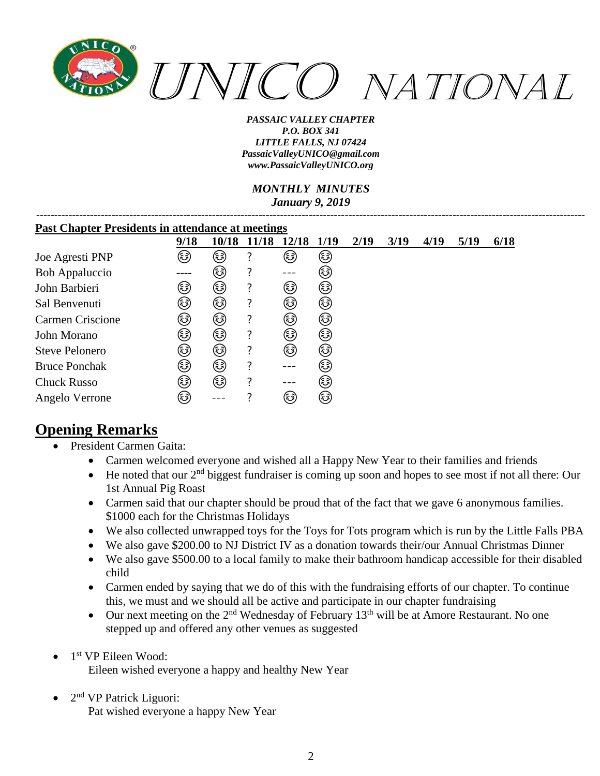

#### *MONTHLY MINUTES January 9, 2019*

| <b>Past Chapter Presidents in attendance at meetings</b> |      |       |       |       |             |      |      |      |      |      |
|----------------------------------------------------------|------|-------|-------|-------|-------------|------|------|------|------|------|
|                                                          | 9/18 | 10/18 | 11/18 | 12/18 | <b>1/19</b> | 2/19 | 3/19 | 4/19 | 5/19 | 6/18 |
| Joe Agresti PNP                                          | کی   | کی    |       | ٨     | ٨           |      |      |      |      |      |
| <b>Bob Appaluccio</b>                                    |      | (3)   |       | ---   | (3)         |      |      |      |      |      |
| John Barbieri                                            | کی   | کی    |       | کی    | ٨           |      |      |      |      |      |
| Sal Benvenuti                                            | کا   | ٨     |       | ٨     | ٨           |      |      |      |      |      |
| Carmen Criscione                                         | ٨    | کہ)   |       | کہ)   | ٨           |      |      |      |      |      |
| John Morano                                              | ٨    | ٨     |       | کی    | ٨           |      |      |      |      |      |
| <b>Steve Pelonero</b>                                    | ٨    | ٨     |       | ٨     | ٨           |      |      |      |      |      |
| <b>Bruce Ponchak</b>                                     | ٨    | ٨     |       |       | (هَءَ)      |      |      |      |      |      |
| <b>Chuck Russo</b>                                       | کی   | ٤     |       |       | (هَءَ)      |      |      |      |      |      |
| Angelo Verrone                                           | کی   |       |       | هٔ)   | (هَءَ)      |      |      |      |      |      |

# **Opening Remarks**

- President Carmen Gaita:
	- Carmen welcomed everyone and wished all a Happy New Year to their families and friends
	- He noted that our  $2<sup>nd</sup>$  biggest fundraiser is coming up soon and hopes to see most if not all there: Our 1st Annual Pig Roast
	- Carmen said that our chapter should be proud that of the fact that we gave 6 anonymous families. \$1000 each for the Christmas Holidays
	- We also collected unwrapped toys for the Toys for Tots program which is run by the Little Falls PBA
	- We also gave \$200.00 to NJ District IV as a donation towards their/our Annual Christmas Dinner
	- We also gave \$500.00 to a local family to make their bathroom handicap accessible for their disabled child
	- Carmen ended by saying that we do of this with the fundraising efforts of our chapter. To continue this, we must and we should all be active and participate in our chapter fundraising
	- Our next meeting on the  $2<sup>nd</sup>$  Wednesday of February 13<sup>th</sup> will be at Amore Restaurant. No one stepped up and offered any other venues as suggested
- 1<sup>st</sup> VP Eileen Wood: Eileen wished everyone a happy and healthy New Year
- $\bullet$  2<sup>nd</sup> VP Patrick Liguori: Pat wished everyone a happy New Year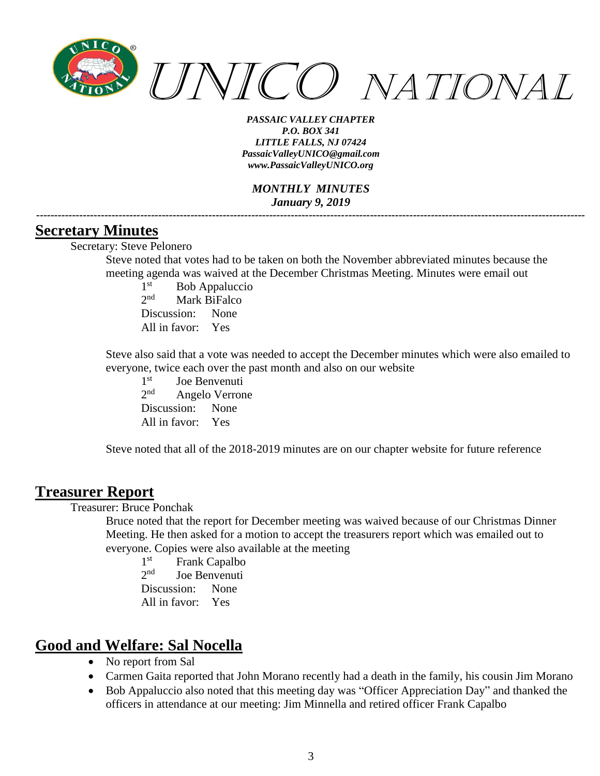

*MONTHLY MINUTES January 9, 2019 ---------------------------------------------------------------------------------------------------------------------------------------------------------*

#### **Secretary Minutes**

Secretary: Steve Pelonero

Steve noted that votes had to be taken on both the November abbreviated minutes because the meeting agenda was waived at the December Christmas Meeting. Minutes were email out

 $1<sup>st</sup>$ Bob Appaluccio  $2^{nd}$ Mark BiFalco Discussion: None All in favor: Yes

Steve also said that a vote was needed to accept the December minutes which were also emailed to everyone, twice each over the past month and also on our website

 $1<sup>st</sup>$ Joe Benvenuti  $2<sup>nd</sup>$ Angelo Verrone Discussion: None All in favor: Yes

Steve noted that all of the 2018-2019 minutes are on our chapter website for future reference

#### **Treasurer Report**

Treasurer: Bruce Ponchak

Bruce noted that the report for December meeting was waived because of our Christmas Dinner Meeting. He then asked for a motion to accept the treasurers report which was emailed out to everyone. Copies were also available at the meeting

1<sup>st</sup> Frank Capalbo  $2<sub>nd</sub>$ Joe Benvenuti Discussion: None All in favor: Yes

### **Good and Welfare: Sal Nocella**

- No report from Sal
- Carmen Gaita reported that John Morano recently had a death in the family, his cousin Jim Morano
- Bob Appaluccio also noted that this meeting day was "Officer Appreciation Day" and thanked the officers in attendance at our meeting: Jim Minnella and retired officer Frank Capalbo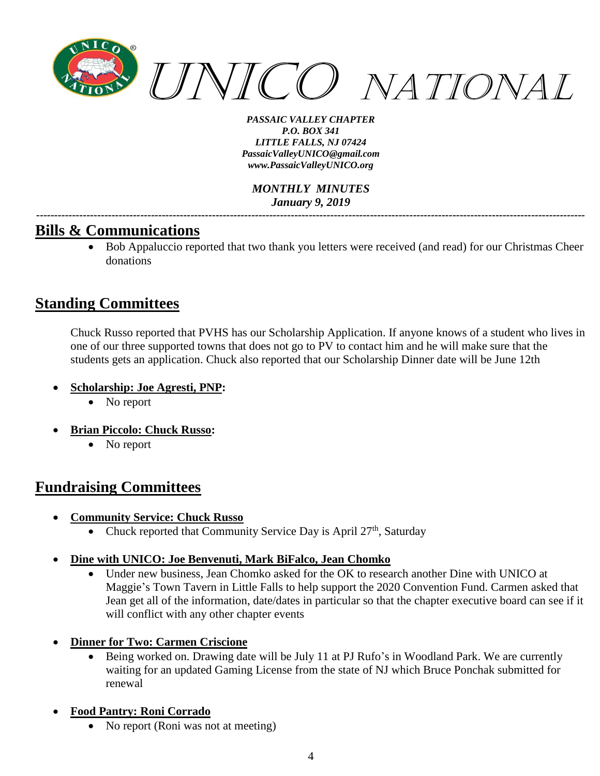

*MONTHLY MINUTES January 9, 2019 ---------------------------------------------------------------------------------------------------------------------------------------------------------*

### **Bills & Communications**

• Bob Appaluccio reported that two thank you letters were received (and read) for our Christmas Cheer donations

# **Standing Committees**

Chuck Russo reported that PVHS has our Scholarship Application. If anyone knows of a student who lives in one of our three supported towns that does not go to PV to contact him and he will make sure that the students gets an application. Chuck also reported that our Scholarship Dinner date will be June 12th

- **Scholarship: Joe Agresti, PNP:**
	- No report
- **Brian Piccolo: Chuck Russo:**
	- No report

# **Fundraising Committees**

- **Community Service: Chuck Russo**
	- Chuck reported that Community Service Day is April  $27<sup>th</sup>$ , Saturday
- **Dine with UNICO: Joe Benvenuti, Mark BiFalco, Jean Chomko**
	- Under new business, Jean Chomko asked for the OK to research another Dine with UNICO at Maggie's Town Tavern in Little Falls to help support the 2020 Convention Fund. Carmen asked that Jean get all of the information, date/dates in particular so that the chapter executive board can see if it will conflict with any other chapter events
- **Dinner for Two: Carmen Criscione**
	- Being worked on. Drawing date will be July 11 at PJ Rufo's in Woodland Park. We are currently waiting for an updated Gaming License from the state of NJ which Bruce Ponchak submitted for renewal
- **Food Pantry: Roni Corrado** 
	- No report (Roni was not at meeting)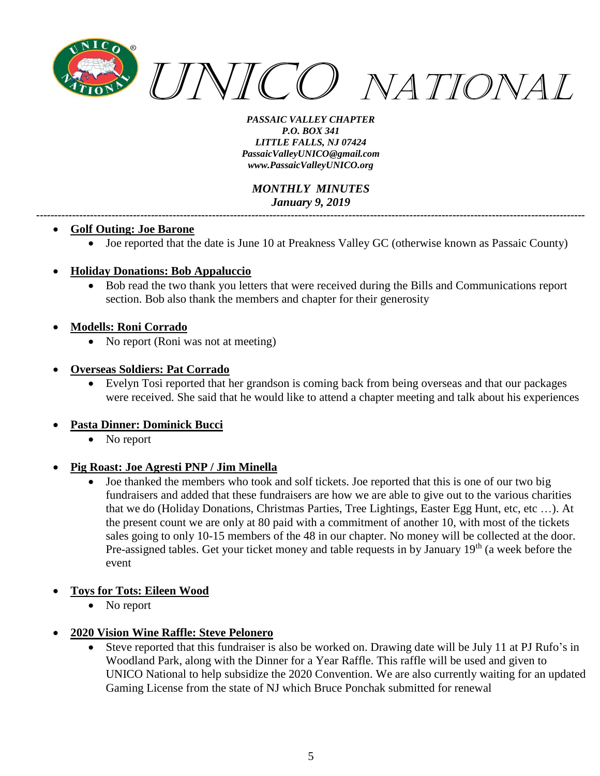

*MONTHLY MINUTES January 9, 2019 ---------------------------------------------------------------------------------------------------------------------------------------------------------*

#### • **Golf Outing: Joe Barone**

• Joe reported that the date is June 10 at Preakness Valley GC (otherwise known as Passaic County)

#### • **Holiday Donations: Bob Appaluccio**

• Bob read the two thank you letters that were received during the Bills and Communications report section. Bob also thank the members and chapter for their generosity

#### • **Modells: Roni Corrado**

• No report (Roni was not at meeting)

#### • **Overseas Soldiers: Pat Corrado**

• Evelyn Tosi reported that her grandson is coming back from being overseas and that our packages were received. She said that he would like to attend a chapter meeting and talk about his experiences

#### • **Pasta Dinner: Dominick Bucci**

• No report

#### • **Pig Roast: Joe Agresti PNP / Jim Minella**

- Joe thanked the members who took and solf tickets. Joe reported that this is one of our two big fundraisers and added that these fundraisers are how we are able to give out to the various charities that we do (Holiday Donations, Christmas Parties, Tree Lightings, Easter Egg Hunt, etc, etc …). At the present count we are only at 80 paid with a commitment of another 10, with most of the tickets sales going to only 10-15 members of the 48 in our chapter. No money will be collected at the door. Pre-assigned tables. Get your ticket money and table requests in by January 19<sup>th</sup> (a week before the event
- **Toys for Tots: Eileen Wood**
	- No report

#### • **2020 Vision Wine Raffle: Steve Pelonero**

• Steve reported that this fundraiser is also be worked on. Drawing date will be July 11 at PJ Rufo's in Woodland Park, along with the Dinner for a Year Raffle. This raffle will be used and given to UNICO National to help subsidize the 2020 Convention. We are also currently waiting for an updated Gaming License from the state of NJ which Bruce Ponchak submitted for renewal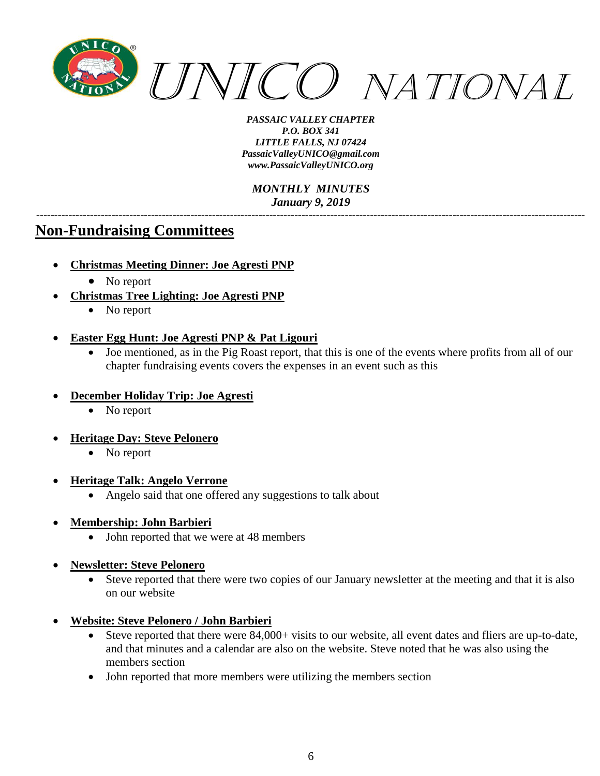

*MONTHLY MINUTES January 9, 2019*

*---------------------------------------------------------------------------------------------------------------------------------------------------------*

# **Non-Fundraising Committees**

- **Christmas Meeting Dinner: Joe Agresti PNP**
	- No report
- **Christmas Tree Lighting: Joe Agresti PNP**
	- No report
- **Easter Egg Hunt: Joe Agresti PNP & Pat Ligouri**
	- Joe mentioned, as in the Pig Roast report, that this is one of the events where profits from all of our chapter fundraising events covers the expenses in an event such as this
- **December Holiday Trip: Joe Agresti**
	- No report
- **Heritage Day: Steve Pelonero**
	- No report
- **Heritage Talk: Angelo Verrone**
	- Angelo said that one offered any suggestions to talk about
- **Membership: John Barbieri**
	- John reported that we were at 48 members
- **Newsletter: Steve Pelonero**
	- Steve reported that there were two copies of our January newsletter at the meeting and that it is also on our website
- **Website: Steve Pelonero / John Barbieri**
	- Steve reported that there were 84,000+ visits to our website, all event dates and fliers are up-to-date, and that minutes and a calendar are also on the website. Steve noted that he was also using the members section
	- John reported that more members were utilizing the members section